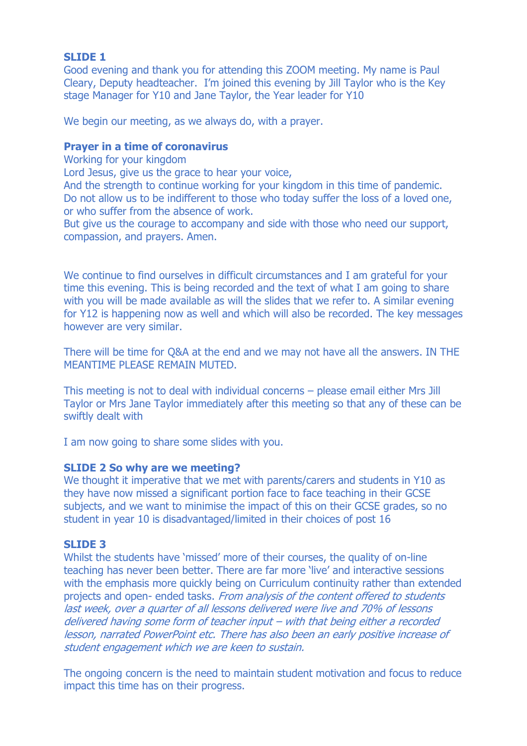## **SLIDE 1**

Good evening and thank you for attending this ZOOM meeting. My name is Paul Cleary, Deputy headteacher. I'm joined this evening by Jill Taylor who is the Key stage Manager for Y10 and Jane Taylor, the Year leader for Y10

We begin our meeting, as we always do, with a prayer.

#### **Prayer in a time of coronavirus**

Working for your kingdom

Lord Jesus, give us the grace to hear your voice,

And the strength to continue working for your kingdom in this time of pandemic. Do not allow us to be indifferent to those who today suffer the loss of a loved one, or who suffer from the absence of work.

But give us the courage to accompany and side with those who need our support, compassion, and prayers. Amen.

We continue to find ourselves in difficult circumstances and I am grateful for your time this evening. This is being recorded and the text of what I am going to share with you will be made available as will the slides that we refer to. A similar evening for Y12 is happening now as well and which will also be recorded. The key messages however are very similar.

There will be time for Q&A at the end and we may not have all the answers. IN THE MEANTIME PLEASE REMAIN MUTED.

This meeting is not to deal with individual concerns – please email either Mrs Jill Taylor or Mrs Jane Taylor immediately after this meeting so that any of these can be swiftly dealt with

I am now going to share some slides with you.

## **SLIDE 2 So why are we meeting?**

We thought it imperative that we met with parents/carers and students in Y10 as they have now missed a significant portion face to face teaching in their GCSE subjects, and we want to minimise the impact of this on their GCSE grades, so no student in year 10 is disadvantaged/limited in their choices of post 16

## **SLIDE 3**

Whilst the students have 'missed' more of their courses, the quality of on-line teaching has never been better. There are far more 'live' and interactive sessions with the emphasis more quickly being on Curriculum continuity rather than extended projects and open- ended tasks. From analysis of the content offered to students last week, over a quarter of all lessons delivered were live and 70% of lessons delivered having some form of teacher input – with that being either a recorded lesson, narrated PowerPoint etc. There has also been an early positive increase of student engagement which we are keen to sustain.

The ongoing concern is the need to maintain student motivation and focus to reduce impact this time has on their progress.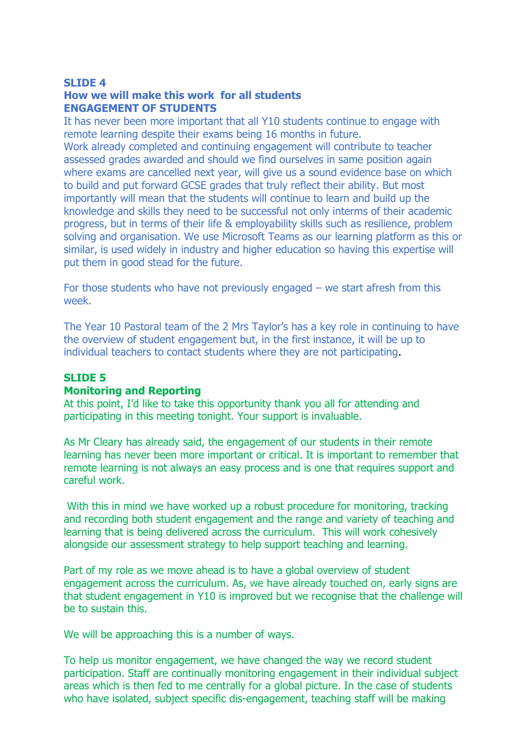#### **SLIDE 4**

## **How we will make this work for all students ENGAGEMENT OF STUDENTS**

It has never been more important that all Y10 students continue to engage with remote learning despite their exams being 16 months in future. Work already completed and continuing engagement will contribute to teacher assessed grades awarded and should we find ourselves in same position again where exams are cancelled next year, will give us a sound evidence base on which to build and put forward GCSE grades that truly reflect their ability. But most importantly will mean that the students will continue to learn and build up the knowledge and skills they need to be successful not only interms of their academic progress, but in terms of their life & employability skills such as resilience, problem solving and organisation. We use Microsoft Teams as our learning platform as this or similar, is used widely in industry and higher education so having this expertise will put them in good stead for the future.

For those students who have not previously engaged  $-$  we start afresh from this week.

The Year 10 Pastoral team of the 2 Mrs Taylor's has a key role in continuing to have the overview of student engagement but, in the first instance, it will be up to individual teachers to contact students where they are not participating.

#### **SLIDE 5**

## **Monitoring and Reporting**

At this point, I'd like to take this opportunity thank you all for attending and participating in this meeting tonight. Your support is invaluable.

As Mr Cleary has already said, the engagement of our students in their remote learning has never been more important or critical. It is important to remember that remote learning is not always an easy process and is one that requires support and careful work.

With this in mind we have worked up a robust procedure for monitoring, tracking and recording both student engagement and the range and variety of teaching and learning that is being delivered across the curriculum. This will work cohesively alongside our assessment strategy to help support teaching and learning.

Part of my role as we move ahead is to have a global overview of student engagement across the curriculum. As, we have already touched on, early signs are that student engagement in Y10 is improved but we recognise that the challenge will be to sustain this.

We will be approaching this is a number of ways.

To help us monitor engagement, we have changed the way we record student participation. Staff are continually monitoring engagement in their individual subject areas which is then fed to me centrally for a global picture. In the case of students who have isolated, subject specific dis-engagement, teaching staff will be making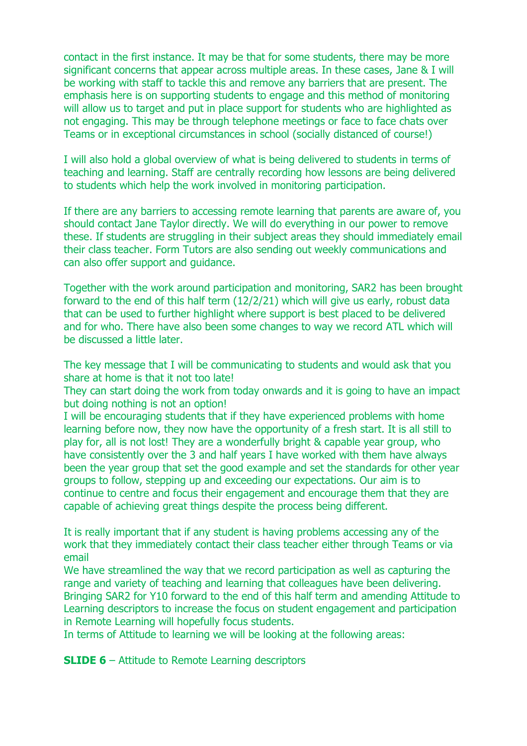contact in the first instance. It may be that for some students, there may be more significant concerns that appear across multiple areas. In these cases, Jane & I will be working with staff to tackle this and remove any barriers that are present. The emphasis here is on supporting students to engage and this method of monitoring will allow us to target and put in place support for students who are highlighted as not engaging. This may be through telephone meetings or face to face chats over Teams or in exceptional circumstances in school (socially distanced of course!)

I will also hold a global overview of what is being delivered to students in terms of teaching and learning. Staff are centrally recording how lessons are being delivered to students which help the work involved in monitoring participation.

If there are any barriers to accessing remote learning that parents are aware of, you should contact Jane Taylor directly. We will do everything in our power to remove these. If students are struggling in their subject areas they should immediately email their class teacher. Form Tutors are also sending out weekly communications and can also offer support and guidance.

Together with the work around participation and monitoring, SAR2 has been brought forward to the end of this half term (12/2/21) which will give us early, robust data that can be used to further highlight where support is best placed to be delivered and for who. There have also been some changes to way we record ATL which will be discussed a little later.

The key message that I will be communicating to students and would ask that you share at home is that it not too late!

They can start doing the work from today onwards and it is going to have an impact but doing nothing is not an option!

I will be encouraging students that if they have experienced problems with home learning before now, they now have the opportunity of a fresh start. It is all still to play for, all is not lost! They are a wonderfully bright & capable year group, who have consistently over the 3 and half years I have worked with them have always been the year group that set the good example and set the standards for other year groups to follow, stepping up and exceeding our expectations. Our aim is to continue to centre and focus their engagement and encourage them that they are capable of achieving great things despite the process being different.

It is really important that if any student is having problems accessing any of the work that they immediately contact their class teacher either through Teams or via email

We have streamlined the way that we record participation as well as capturing the range and variety of teaching and learning that colleagues have been delivering. Bringing SAR2 for Y10 forward to the end of this half term and amending Attitude to Learning descriptors to increase the focus on student engagement and participation in Remote Learning will hopefully focus students.

In terms of Attitude to learning we will be looking at the following areas:

**SLIDE 6** – Attitude to Remote Learning descriptors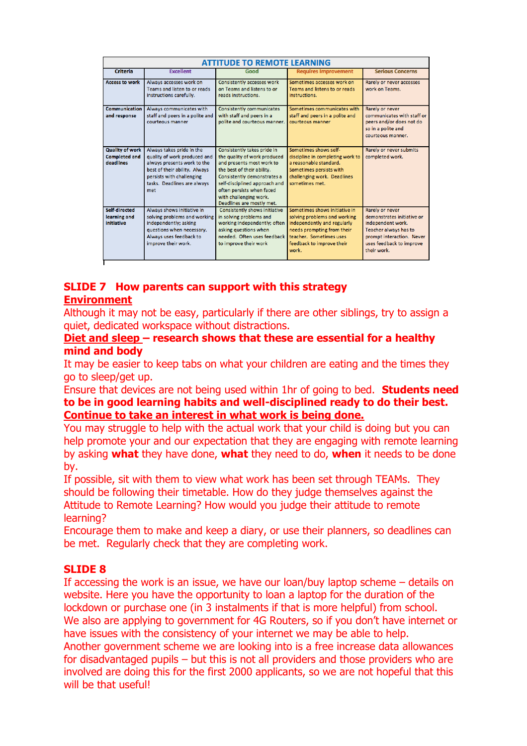| <b>ATTITUDE TO REMOTE LEARNING</b>                          |                                                                                                                                                                                              |                                                                                                                                                                                                                                                                            |                                                                                                                                                                                             |                                                                                                                                                                     |
|-------------------------------------------------------------|----------------------------------------------------------------------------------------------------------------------------------------------------------------------------------------------|----------------------------------------------------------------------------------------------------------------------------------------------------------------------------------------------------------------------------------------------------------------------------|---------------------------------------------------------------------------------------------------------------------------------------------------------------------------------------------|---------------------------------------------------------------------------------------------------------------------------------------------------------------------|
| <b>Criteria</b>                                             | <b>Excellent</b>                                                                                                                                                                             | Good                                                                                                                                                                                                                                                                       | <b>Requires Improvement</b>                                                                                                                                                                 | <b>Serious Concerns</b>                                                                                                                                             |
| <b>Access to work</b>                                       | Always accesses work on<br>Teams and listen to or reads<br>instructions carefully.                                                                                                           | <b>Consistently accesses work</b><br>on Teams and listens to or<br>reads instructions.                                                                                                                                                                                     | Sometimes accesses work on<br>Teams and listens to or reads<br>instructions.                                                                                                                | Rarely or never accesses<br>work on Teams.                                                                                                                          |
| Communication<br>and response                               | Always communicates with<br>staff and peers in a polite and<br>courteous manner                                                                                                              | <b>Consistently communicates</b><br>with staff and peers in a<br>polite and courteous manner.                                                                                                                                                                              | Sometimes communicates with<br>staff and peers in a polite and<br>courteous manner                                                                                                          | Rarely or never<br>communicates with staff or<br>peers and/or does not do<br>so in a polite and<br>courteous manner.                                                |
| <b>Quality of work</b><br><b>Completed and</b><br>deadlines | Always takes pride in the<br>quality of work produced and<br>always presents work to the<br>best of their ability. Always<br>persists with challenging<br>tasks. Deadlines are always<br>met | Consistently takes pride in<br>the quality of work produced<br>and presents most work to<br>the best of their ability.<br>Consistently demonstrates a<br>self-disciplined approach and<br>often persists when faced<br>with challenging work.<br>Deadlines are mostly met. | Sometimes shows self-<br>discipline in completing work to<br>a reasonable standard.<br>Sometimes persists with<br>challenging work. Deadlines<br>sometimes met.                             | <b>Rarely or never submits</b><br>completed work.                                                                                                                   |
| Self-directed<br>learning and<br>initiative                 | Always shows initiative in<br>solving problems and working<br>independently; asking<br>questions when necessary.<br>Always uses feedback to<br>improve their work.                           | Consistently shows initiative<br>in solving problems and<br>working independently; often<br>asking questions when<br>needed. Often uses feedback<br>to improve their work                                                                                                  | Sometimes shows initiative in<br>solving problems and working<br>independently and regularly<br>needs prompting from their<br>teacher. Sometimes uses<br>feedback to improve their<br>work. | Rarely or never<br>demonstrates initiative or<br>independent work.<br>Teacher always has to<br>prompt interaction. Never<br>uses feedback to improve<br>their work. |

# **SLIDE 7 How parents can support with this strategy Environment**

Although it may not be easy, particularly if there are other siblings, try to assign a quiet, dedicated workspace without distractions.

**Diet and sleep – research shows that these are essential for a healthy mind and body**

It may be easier to keep tabs on what your children are eating and the times they go to sleep/get up.

Ensure that devices are not being used within 1hr of going to bed. **Students need to be in good learning habits and well-disciplined ready to do their best. Continue to take an interest in what work is being done.**

You may struggle to help with the actual work that your child is doing but you can help promote your and our expectation that they are engaging with remote learning by asking **what** they have done, **what** they need to do, **when** it needs to be done by.

If possible, sit with them to view what work has been set through TEAMs. They should be following their timetable. How do they judge themselves against the Attitude to Remote Learning? How would you judge their attitude to remote learning?

Encourage them to make and keep a diary, or use their planners, so deadlines can be met. Regularly check that they are completing work.

## **SLIDE 8**

If accessing the work is an issue, we have our loan/buy laptop scheme – details on website. Here you have the opportunity to loan a laptop for the duration of the lockdown or purchase one (in 3 instalments if that is more helpful) from school. We also are applying to government for 4G Routers, so if you don't have internet or have issues with the consistency of your internet we may be able to help.

Another government scheme we are looking into is a free increase data allowances for disadvantaged pupils – but this is not all providers and those providers who are involved are doing this for the first 2000 applicants, so we are not hopeful that this will be that useful!